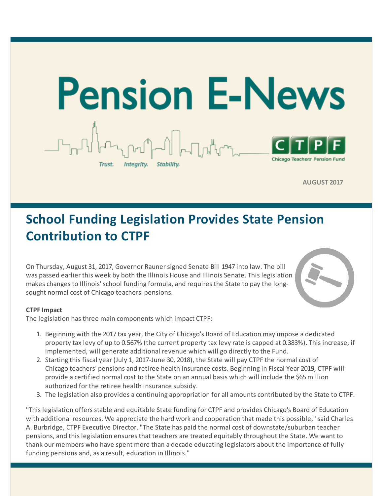

**AUGUST 2017**

## **School Funding Legislation Provides State Pension Contribution to CTPF**

On Thursday, August 31, 2017, Governor Raunersigned Senate Bill 1947 into law. The bill was passed earlier this week by both the Illinois House and Illinois Senate. This legislation makes changes to Illinois'school funding formula, and requires the State to pay the longsought normal cost of Chicago teachers' pensions.



#### **CTPF Impact**

The legislation has three main components which impact CTPF:

- 1. Beginning with the 2017 tax year, the City of Chicago's Board of Education may impose a dedicated property tax levy of up to 0.567% (the current property tax levy rate is capped at 0.383%). This increase, if implemented, will generate additional revenue which will go directly to the Fund.
- 2. Starting this fiscal year (July 1, 2017-June 30, 2018), the State will pay CTPF the normal cost of Chicago teachers' pensions and retiree health insurance costs. Beginning in Fiscal Year 2019, CTPF will provide a certified normal cost to the State on an annual basis which will include the \$65 million authorized for the retiree health insurance subsidy.
- 3. The legislation also provides a continuing appropriation for all amounts contributed by the State to CTPF.

"This legislation offers stable and equitable State funding for CTPF and provides Chicago's Board of Education with additional resources. We appreciate the hard work and cooperation that made this possible," said Charles A. Burbridge, CTPF Executive Director. "The State has paid the normal cost of downstate/suburban teacher pensions, and this legislation ensures that teachers are treated equitably throughout the State. We want to thank our members who have spent more than a decade educating legislators about the importance of fully funding pensions and, as a result, education in Illinois."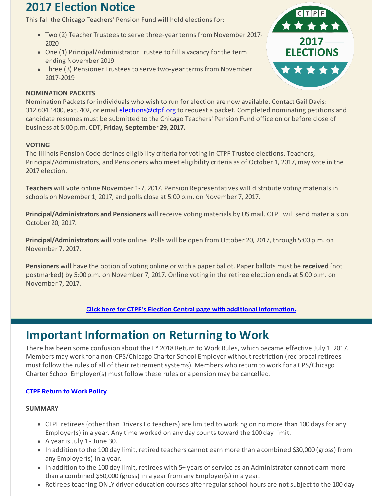## **2017 Election Notice**

This fall the Chicago Teachers' Pension Fund will hold elections for:

- Two (2) Teacher Trustees to serve three-year terms from November 2017- 2020
- One (1) Principal/Administrator Trustee to fill a vacancy for the term ending November 2019
- Three (3) Pensioner Trustees to serve two-year terms from November 2017-2019

#### **NOMINATION PACKETS**



Nomination Packets for individuals who wish to run for election are now available. Contact Gail Davis: 312.604.1400, ext. 402, or email [elections@ctpf.org](mailto:elections@ctpf.org) to request a packet. Completed nominating petitions and candidate resumes must be submitted to the Chicago Teachers' Pension Fund office on or before close of business at 5:00 p.m. CDT, **Friday, September 29, 2017.**

#### **VOTING**

The Illinois Pension Code defines eligibility criteria for voting in CTPF Trustee elections. Teachers, Principal/Administrators, and Pensioners who meet eligibility criteria as of October 1, 2017, may vote in the 2017 election.

**Teachers** will vote online November 1-7, 2017. Pension Representatives will distribute voting materials in schools on November 1, 2017, and polls close at 5:00 p.m. on November 7, 2017.

**Principal/Administrators and Pensioners** will receive voting materials by US mail. CTPF will send materials on October 20, 2017.

**Principal/Administrators** will vote online. Polls will be open from October 20, 2017, through 5:00 p.m. on November 7, 2017.

**Pensioners** will have the option of voting online or with a paper ballot. Paper ballots must be **received** (not postmarked) by 5:00 p.m. on November 7, 2017. Online voting in the retiree election ends at 5:00 p.m. on November 7, 2017.

**Click here for CTPF's Election Central page with additional [Information.](http://r20.rs6.net/tn.jsp?f=001EJ5u46uu-DbYsIcGVACvDnP5Y452lANB66yUVrkI6PFKhwKRNQBr-ozV1jwOk9OkJZSYbMMKNVpYm3LEJqMuqEowdhv5ad_p4XQJbp2w6sQ472Rfr6c2-i-7j4bJrRyff4JrMpA0IQivlfVg4uZgkxGlYh2qQvhR-EX9zAasjnVInMBQzSD_moEg1N28_KQxqzkG14jMgBEDI5v-r-JRwA==&c=&ch=)**

## **Important Information on Returning to Work**

There has been some confusion about the FY 2018 Return to Work Rules, which became effective July 1, 2017. Members may work for a non-CPS/Chicago Charter School Employer without restriction (reciprocal retirees must follow the rules of all of their retirement systems). Members who return to work for a CPS/Chicago Charter School Employer(s) must follow these rules or a pension may be cancelled.

#### **CTPF [Return](http://r20.rs6.net/tn.jsp?f=001EJ5u46uu-DbYsIcGVACvDnP5Y452lANB66yUVrkI6PFKhwKRNQBr-gvpnAz2coOYbc3lgB5HA_gXM-0OvluEmdlxTHNd_r-InKW1n2e0NFAIcuJtr3_govNkBKwCXgmC_s8TUMmqRP5iFaKwqVgeS96xrDNQk7iX538ISxHaN7RVTmsqDqrjXQ==&c=&ch=) to Work Policy**

#### **SUMMARY**

- CTPF retirees (other than Drivers Ed teachers) are limited to working on no more than 100 days for any Employer(s) in a year. Any time worked on any day counts toward the 100 day limit.
- A year is July 1 June 30.
- In addition to the 100 day limit, retired teachers cannot earn more than a combined \$30,000 (gross) from any Employer(s) in a year.
- In addition to the 100 day limit, retirees with 5+ years of service as an Administrator cannot earn more than a combined \$50,000 (gross) in a year from any Employer(s) in a year.
- Retirees teaching ONLY driver education courses after regular school hours are not subject to the 100 day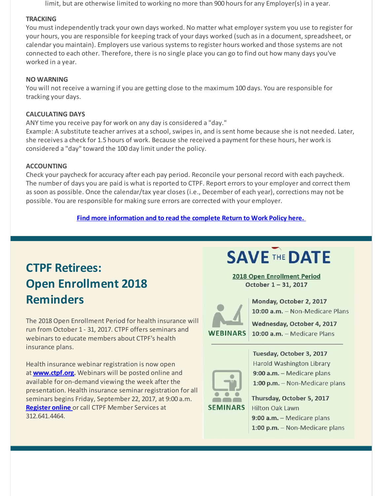limit, but are otherwise limited to working no more than 900 hours for any Employer(s) in a year.

#### **TRACKING**

You must independently track your own days worked. No matter what employersystem you use to register for your hours, you are responsible for keeping track of your days worked (such as in a document, spreadsheet, or calendar you maintain). Employers use various systems to register hours worked and those systems are not connected to each other. Therefore, there is no single place you can go to find out how many days you've worked in a year.

#### **NO WARNING**

You will not receive a warning if you are getting close to the maximum 100 days. You are responsible for tracking your days.

#### **CALCULATING DAYS**

ANY time you receive pay for work on any day is considered a "day."

Example: A substitute teacher arrives at a school, swipes in, and is sent home because she is not needed. Later, she receives a check for 1.5 hours of work. Because she received a payment for these hours, her work is considered a "day" toward the 100 day limit under the policy.

#### **ACCOUNTING**

Check your paycheck for accuracy after each pay period. Reconcile your personal record with each paycheck. The number of days you are paid is what is reported to CTPF. Report errors to your employer and correct them as soon as possible. Once the calendar/tax year closes (i.e., December of each year), corrections may not be possible. You are responsible for making sure errors are corrected with your employer.

**Find more [information](http://r20.rs6.net/tn.jsp?f=001EJ5u46uu-DbYsIcGVACvDnP5Y452lANB66yUVrkI6PFKhwKRNQBr-gvpnAz2coOYbc3lgB5HA_gXM-0OvluEmdlxTHNd_r-InKW1n2e0NFAIcuJtr3_govNkBKwCXgmC_s8TUMmqRP5iFaKwqVgeS96xrDNQk7iX538ISxHaN7RVTmsqDqrjXQ==&c=&ch=) and to read the complete Return to Work Policy here.**

## **CTPF Retirees: Open Enrollment 2018 Reminders**

The 2018Open Enrollment Period for health insurance will run from October 1 - 31, 2017. CTPF offers seminars and webinars to educate members about CTPF's health insurance plans.

Health insurance webinar registration is now open at **[www.ctpf.org](http://r20.rs6.net/tn.jsp?f=001EJ5u46uu-DbYsIcGVACvDnP5Y452lANB66yUVrkI6PFKhwKRNQBr-gvpnAz2coOYmyzkjhFJC_wRsQffW4ZZ5qd9M0Z1oSrdvBPLnjZKC375L-vENHjql3GwLTo6Xjmm_Z0AE3AhfXy0KFRvlhsmsPhBFGt9rRNaQUyMcRmV728CZf8LdHjeoz0wpyCxmSQMTmS3TNo2uJuYPrn9xHHNgg==&c=&ch=).** Webinars will be posted online and available for on-demand viewing the week after the presentation. Health insurance seminar registration for all seminars begins Friday, September 22, 2017, at 9:00 a.m. **[Register](http://r20.rs6.net/tn.jsp?f=001EJ5u46uu-DbYsIcGVACvDnP5Y452lANB66yUVrkI6PFKhwKRNQBr-gvpnAz2coOY1sJzn3ZNO9TSPRMHprLg7hOs2itucryz8SjZC-Wl8aCgnYiyq-5AAAEMiBB8L7RvDECRx-0jFtZVYUgh-umVUPEIJw4Teod8hM06pznhPwhrmFJoidQOvg==&c=&ch=) online** or call CTPF Member Services at 312.641.4464.

# **SAVE THE DATE**

2018 Open Enrollment Period October 1-31, 2017



Monday, October 2, 2017 10:00 a.m. - Non-Medicare Plans

Wednesday, October 4, 2017 10:00 a.m. - Medicare Plans



Tuesday, October 3, 2017 Harold Washington Library 9:00 a.m. - Medicare plans 1:00 p.m. - Non-Medicare plans

Thursday, October 5, 2017 **Hilton Oak Lawn** 9:00 a.m. - Medicare plans 1:00 p.m. - Non-Medicare plans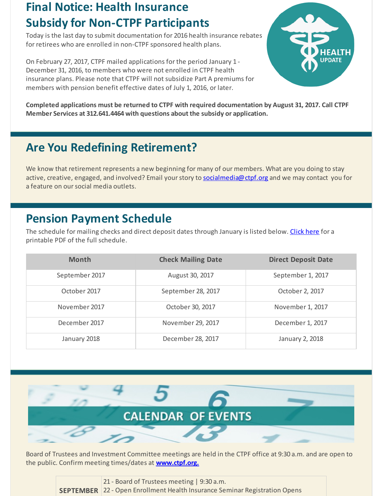## **Final Notice: Health Insurance Subsidy for Non-CTPF Participants**

Today is the last day to submit documentation for 2016 health insurance rebates for retirees who are enrolled in non-CTPF sponsored health plans.

On February 27, 2017, CTPF mailed applications for the period January 1 - December 31, 2016, to members who were not enrolled in CTPF health insurance plans. Please note that CTPF will not subsidize Part A premiums for members with pension benefit effective dates of July 1, 2016, or later.



**Completed applications must be returned to CTPF with required documentation by August 31, 2017. Call CTPF Member Services at 312.641.4464 with questions about the subsidy or application.**

## **Are You Redefining Retirement?**

We know that retirement represents a new beginning for many of our members. What are you doing to stay active, creative, engaged, and involved? Email your story to [socialmedia@ctpf.org](mailto:socialmedia@ctpf.org) and we may contact you for a feature on our social media outlets.

## **Pension Payment Schedule**

The schedule for mailing checks and direct deposit dates through January is listed below. [Click](http://r20.rs6.net/tn.jsp?f=001EJ5u46uu-DbYsIcGVACvDnP5Y452lANB66yUVrkI6PFKhwKRNQBr-ozV1jwOk9OkO3I4ZQgFaMpSvgyx4N7VqGu202XGTW_UB-DfJaVwxHBfEQ8LvWiltFUCu7r6AOHrNxMxv6R5fViGn_URgVhLgyQKFiwtR7tl51Gy148zh1vBFuA-qSyVTbzdRj0uU7yBv_0UbD269Ey8FgI9Bx6QZQ==&c=&ch=) here for a printable PDF of the full schedule.

| <b>Month</b>   | <b>Check Mailing Date</b> | <b>Direct Deposit Date</b> |
|----------------|---------------------------|----------------------------|
| September 2017 | August 30, 2017           | September 1, 2017          |
| October 2017   | September 28, 2017        | October 2, 2017            |
| November 2017  | October 30, 2017          | November 1, 2017           |
| December 2017  | November 29, 2017         | December 1, 2017           |
| January 2018   | December 28, 2017         | January 2, 2018            |



Board of Trustees and Investment Committee meetings are held in the CTPF office at 9:30 a.m. and are open to the public. Confirm meeting times/dates at **[www.ctpf.org.](http://r20.rs6.net/tn.jsp?f=001EJ5u46uu-DbYsIcGVACvDnP5Y452lANB66yUVrkI6PFKhwKRNQBr-gvpnAz2coOYPK53aMLna0CeVjWjcb9pDNPvMKRJeccCr7ruppmIjVrJzORHTd8jm8uRkUB5MfCEGM70uc922sReq09Rq42yzIofpW51KBnuutS1p3z40PZas-6haUpQLvNcNNkjEXZTkcCmDKhJUGM=&c=&ch=)**

| 21 - Board of Trustees meeting   9:30 a.m.                                 |
|----------------------------------------------------------------------------|
| SEPTEMBER 22 - Open Enrollment Health Insurance Seminar Registration Opens |